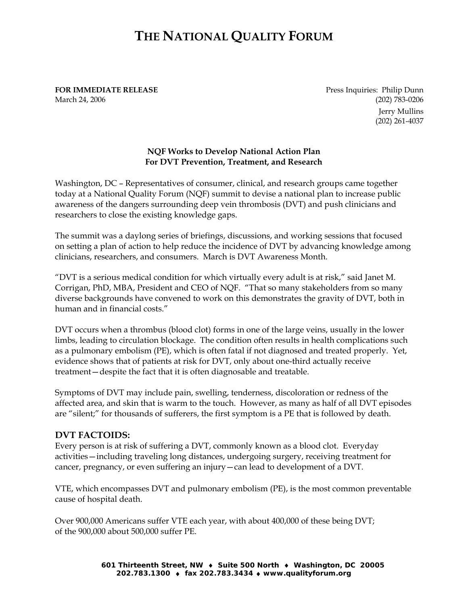## **THE NATIONAL QUALITY FORUM**

**FOR IMMEDIATE RELEASE Press Inquiries: Philip Dunn** March 24, 2006 (202) 783-0206

Jerry Mullins (202) 261-4037

## **NQF Works to Develop National Action Plan For DVT Prevention, Treatment, and Research**

Washington, DC – Representatives of consumer, clinical, and research groups came together today at a National Quality Forum (NQF) summit to devise a national plan to increase public awareness of the dangers surrounding deep vein thrombosis (DVT) and push clinicians and researchers to close the existing knowledge gaps.

The summit was a daylong series of briefings, discussions, and working sessions that focused on setting a plan of action to help reduce the incidence of DVT by advancing knowledge among clinicians, researchers, and consumers. March is DVT Awareness Month.

"DVT is a serious medical condition for which virtually every adult is at risk," said Janet M. Corrigan, PhD, MBA, President and CEO of NQF. "That so many stakeholders from so many diverse backgrounds have convened to work on this demonstrates the gravity of DVT, both in human and in financial costs."

DVT occurs when a thrombus (blood clot) forms in one of the large veins, usually in the lower limbs, leading to circulation blockage. The condition often results in health complications such as a pulmonary embolism (PE), which is often fatal if not diagnosed and treated properly. Yet, evidence shows that of patients at risk for DVT, only about one-third actually receive treatment—despite the fact that it is often diagnosable and treatable.

Symptoms of DVT may include pain, swelling, tenderness, discoloration or redness of the affected area, and skin that is warm to the touch. However, as many as half of all DVT episodes are "silent;" for thousands of sufferers, the first symptom is a PE that is followed by death.

## **DVT FACTOIDS:**

Every person is at risk of suffering a DVT, commonly known as a blood clot. Everyday activities—including traveling long distances, undergoing surgery, receiving treatment for cancer, pregnancy, or even suffering an injury—can lead to development of a DVT.

VTE, which encompasses DVT and pulmonary embolism (PE), is the most common preventable cause of hospital death.

Over 900,000 Americans suffer VTE each year, with about 400,000 of these being DVT; of the 900,000 about 500,000 suffer PE.